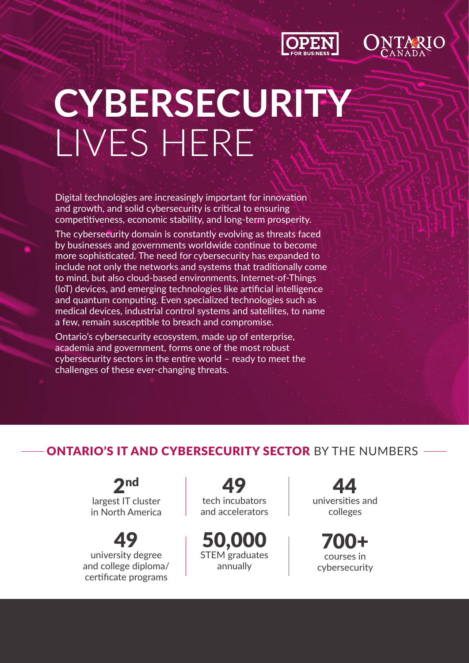



# **CYBERSECURITY**  LIVES HERE

Digital technologies are increasingly important for innovation and growth, and solid cybersecurity is critical to ensuring competitiveness, economic stability, and long-term prosperity.

The cybersecurity domain is constantly evolving as threats faced by businesses and governments worldwide continue to become more sophisticated. The need for cybersecurity has expanded to include not only the networks and systems that traditionally come to mind, but also cloud-based environments, Internet-of-Things (IoT) devices, and emerging technologies like artificial intelligence and quantum computing. Even specialized technologies such as medical devices, industrial control systems and satellites, to name a few, remain susceptible to breach and compromise.

Ontario's cybersecurity ecosystem, made up of enterprise, academia and government, forms one of the most robust cybersecurity sectors in the entire world – ready to meet the challenges of these ever-changing threats.

## ONTARIO'S IT AND CYBERSECURITY SECTOR BY THE NUMBERS

2nd largest IT cluster in North America

49 university degree and college diploma/ certificate programs

49 tech incubators and accelerators

50,000 STEM graduates annually

44 universities and colleges

700+ courses in cybersecurity